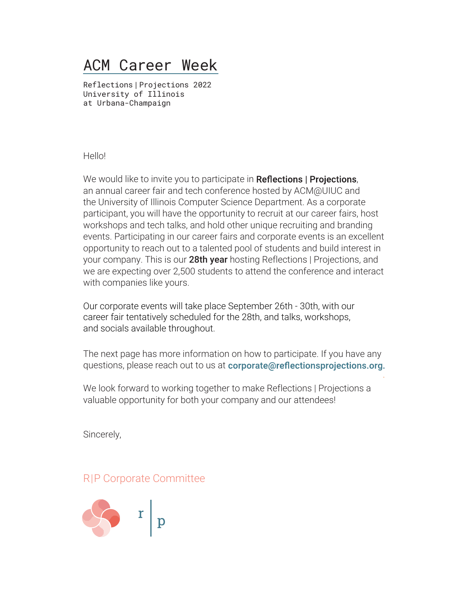## ACM Career Week

Reflections|Projections 2022 University of Illinois at Urbana-Champaign

Hello!

We would like to invite you to participate in Reflections | Projections, an annual career fair and tech conference hosted by ACM@UIUC and the University of Illinois Computer Science Department. As a corporate participant, you will have the opportunity to recruit at our career fairs, host workshops and tech talks, and hold other unique recruiting and branding events. Participating in our career fairs and corporate events is an excellent opportunity to reach out to a talented pool of students and build interest in your company. This is our 28th year hosting Reflections | Projections, and we are expecting over 2,500 students to attend the conference and interact with companies like yours.

Our corporate events will take place September 26th - 30th, with our career fair tentatively scheduled for the 28th, and talks, workshops, and socials available throughout.

The next page has more information on how to participate. If you have any questions, please reach out to us at corporate@reflectionsprojections.org.

We look forward to working together to make Reflections | Projections a valuable opportunity for both your company and our attendees!

Sincerely,

#### R|P Corporate Committee